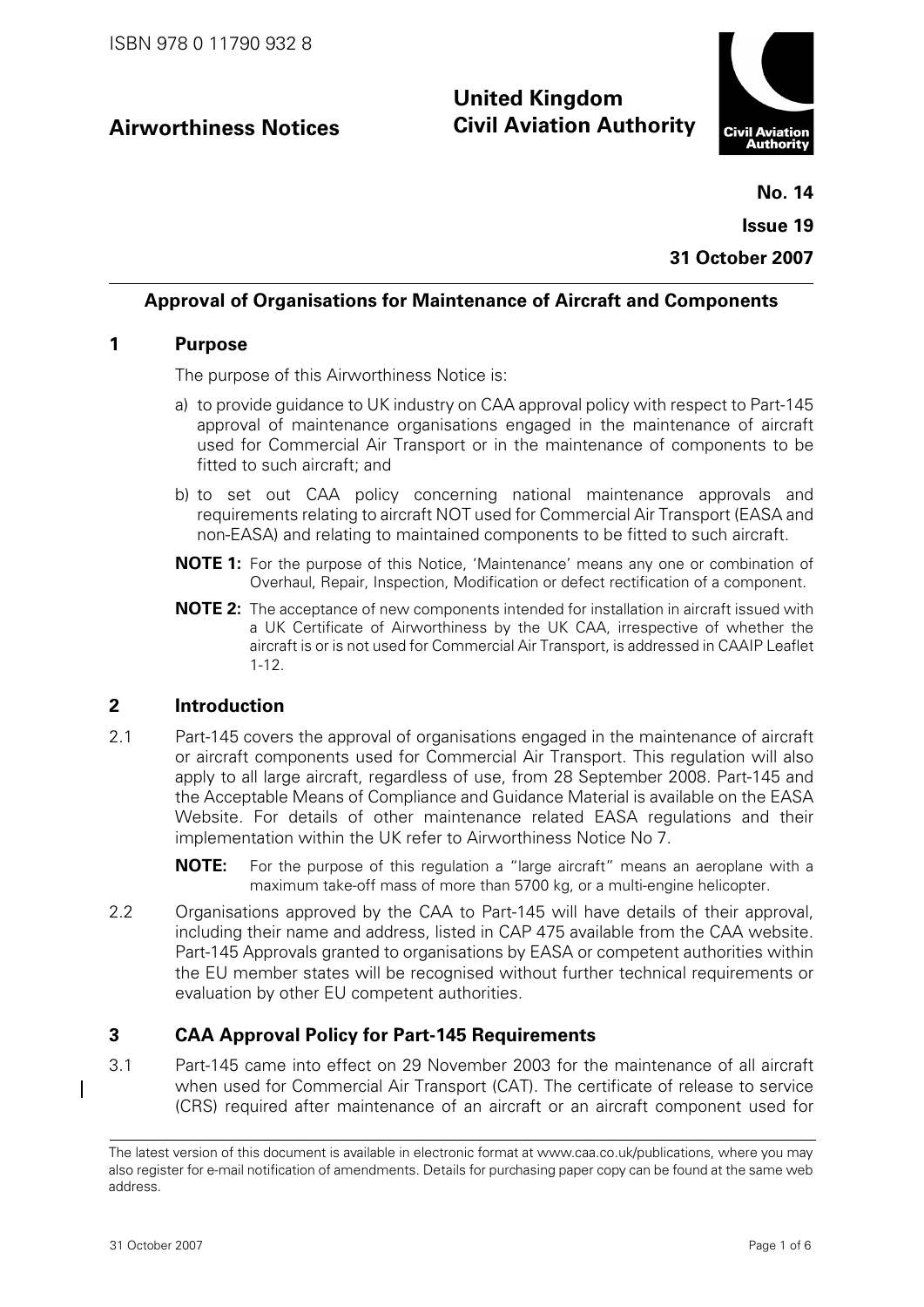## **Airworthiness Notices**

# **United Kingdom Civil Aviation Authority**



**No. 14 Issue 19 31 October 2007**

## **Approval of Organisations for Maintenance of Aircraft and Components**

#### **1 Purpose**

The purpose of this Airworthiness Notice is:

- a) to provide guidance to UK industry on CAA approval policy with respect to Part-145 approval of maintenance organisations engaged in the maintenance of aircraft used for Commercial Air Transport or in the maintenance of components to be fitted to such aircraft; and
- b) to set out CAA policy concerning national maintenance approvals and requirements relating to aircraft NOT used for Commercial Air Transport (EASA and non-EASA) and relating to maintained components to be fitted to such aircraft.
- **NOTE 1:** For the purpose of this Notice, 'Maintenance' means any one or combination of Overhaul, Repair, Inspection, Modification or defect rectification of a component.
- **NOTE 2:** The acceptance of new components intended for installation in aircraft issued with a UK Certificate of Airworthiness by the UK CAA, irrespective of whether the aircraft is or is not used for Commercial Air Transport, is addressed in CAAIP Leaflet 1-12.

## **2 Introduction**

- 2.1 Part-145 covers the approval of organisations engaged in the maintenance of aircraft or aircraft components used for Commercial Air Transport. This regulation will also apply to all large aircraft, regardless of use, from 28 September 2008. Part-145 and the Acceptable Means of Compliance and Guidance Material is available on the EASA Website. For details of other maintenance related EASA regulations and their implementation within the UK refer to Airworthiness Notice No 7.
	- **NOTE:** For the purpose of this regulation a "large aircraft" means an aeroplane with a maximum take-off mass of more than 5700 kg, or a multi-engine helicopter.
- 2.2 Organisations approved by the CAA to Part-145 will have details of their approval, including their name and address, listed in CAP 475 available from the CAA website. Part-145 Approvals granted to organisations by EASA or competent authorities within the EU member states will be recognised without further technical requirements or evaluation by other EU competent authorities.

## **3 CAA Approval Policy for Part-145 Requirements**

3.1 Part-145 came into effect on 29 November 2003 for the maintenance of all aircraft when used for Commercial Air Transport (CAT). The certificate of release to service (CRS) required after maintenance of an aircraft or an aircraft component used for

The latest version of this document is available in electronic format at www.caa.co.uk/publications, where you may also register for e-mail notification of amendments. Details for purchasing paper copy can be found at the same web address.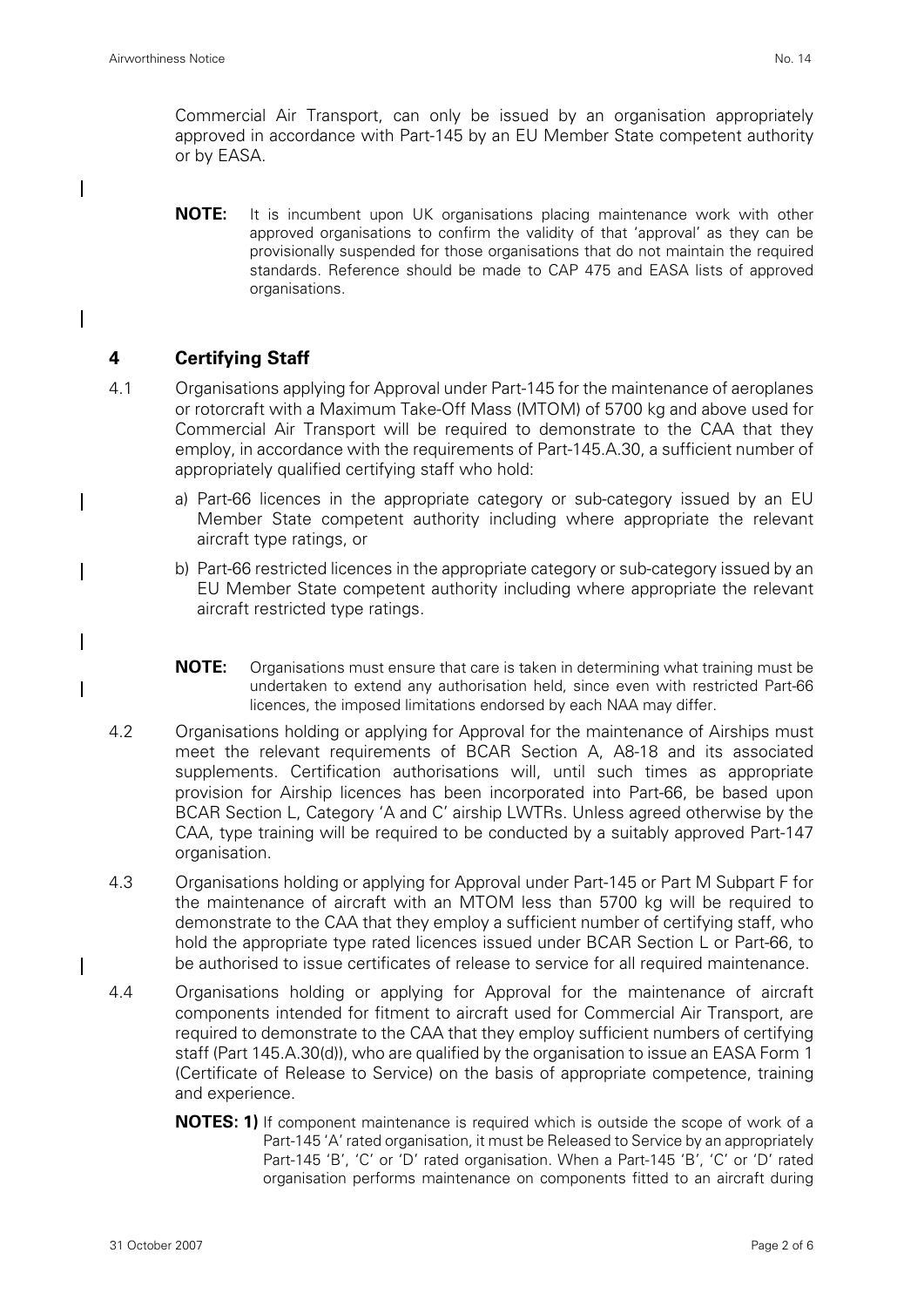$\overline{\phantom{a}}$ 

 $\mathbf l$ 

 $\mathbf I$ 

 $\mathbf I$ 

 $\mathsf{l}$ 

 $\overline{\phantom{a}}$ 

Commercial Air Transport, can only be issued by an organisation appropriately approved in accordance with Part-145 by an EU Member State competent authority or by EASA.

**NOTE:** It is incumbent upon UK organisations placing maintenance work with other approved organisations to confirm the validity of that 'approval' as they can be provisionally suspended for those organisations that do not maintain the required standards. Reference should be made to CAP 475 and EASA lists of approved organisations.

## **4 Certifying Staff**

- 4.1 Organisations applying for Approval under Part-145 for the maintenance of aeroplanes or rotorcraft with a Maximum Take-Off Mass (MTOM) of 5700 kg and above used for Commercial Air Transport will be required to demonstrate to the CAA that they employ, in accordance with the requirements of Part-145.A.30, a sufficient number of appropriately qualified certifying staff who hold:
	- a) Part-66 licences in the appropriate category or sub-category issued by an EU Member State competent authority including where appropriate the relevant aircraft type ratings, or
	- b) Part-66 restricted licences in the appropriate category or sub-category issued by an EU Member State competent authority including where appropriate the relevant aircraft restricted type ratings.
	- **NOTE:** Organisations must ensure that care is taken in determining what training must be undertaken to extend any authorisation held, since even with restricted Part-66 licences, the imposed limitations endorsed by each NAA may differ.
- 4.2 Organisations holding or applying for Approval for the maintenance of Airships must meet the relevant requirements of BCAR Section A, A8-18 and its associated supplements. Certification authorisations will, until such times as appropriate provision for Airship licences has been incorporated into Part-66, be based upon BCAR Section L, Category 'A and C' airship LWTRs. Unless agreed otherwise by the CAA, type training will be required to be conducted by a suitably approved Part-147 organisation.
- 4.3 Organisations holding or applying for Approval under Part-145 or Part M Subpart F for the maintenance of aircraft with an MTOM less than 5700 kg will be required to demonstrate to the CAA that they employ a sufficient number of certifying staff, who hold the appropriate type rated licences issued under BCAR Section L or Part-66, to be authorised to issue certificates of release to service for all required maintenance.
- 4.4 Organisations holding or applying for Approval for the maintenance of aircraft components intended for fitment to aircraft used for Commercial Air Transport, are required to demonstrate to the CAA that they employ sufficient numbers of certifying staff (Part 145.A.30(d)), who are qualified by the organisation to issue an EASA Form 1 (Certificate of Release to Service) on the basis of appropriate competence, training and experience.
	- **NOTES: 1)** If component maintenance is required which is outside the scope of work of a Part-145 'A' rated organisation, it must be Released to Service by an appropriately Part-145 'B', 'C' or 'D' rated organisation. When a Part-145 'B', 'C' or 'D' rated organisation performs maintenance on components fitted to an aircraft during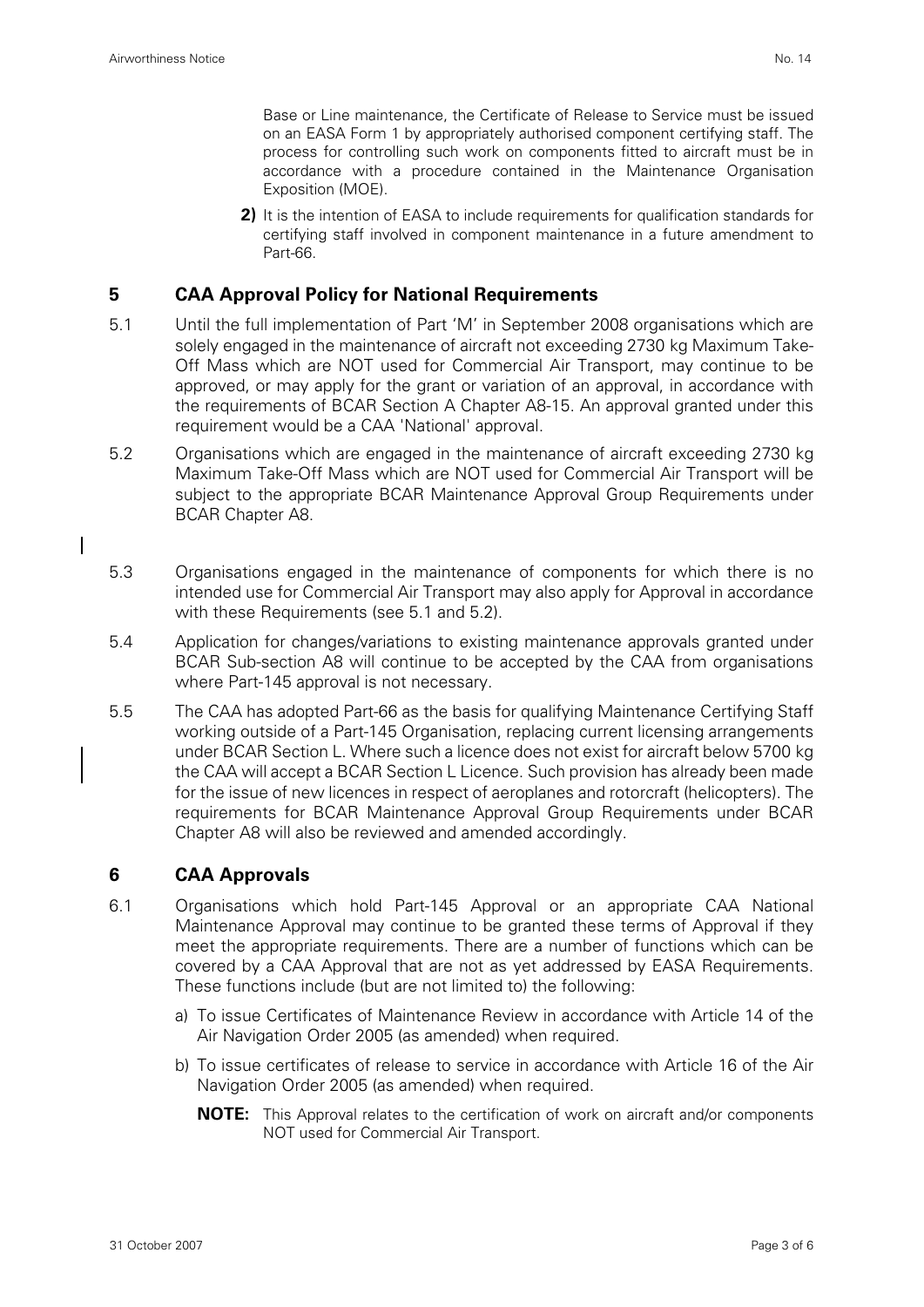I

Base or Line maintenance, the Certificate of Release to Service must be issued on an EASA Form 1 by appropriately authorised component certifying staff. The process for controlling such work on components fitted to aircraft must be in accordance with a procedure contained in the Maintenance Organisation Exposition (MOE).

**2)** It is the intention of EASA to include requirements for qualification standards for certifying staff involved in component maintenance in a future amendment to Part-66.

## **5 CAA Approval Policy for National Requirements**

- 5.1 Until the full implementation of Part 'M' in September 2008 organisations which are solely engaged in the maintenance of aircraft not exceeding 2730 kg Maximum Take-Off Mass which are NOT used for Commercial Air Transport, may continue to be approved, or may apply for the grant or variation of an approval, in accordance with the requirements of BCAR Section A Chapter A8-15. An approval granted under this requirement would be a CAA 'National' approval.
- 5.2 Organisations which are engaged in the maintenance of aircraft exceeding 2730 kg Maximum Take-Off Mass which are NOT used for Commercial Air Transport will be subject to the appropriate BCAR Maintenance Approval Group Requirements under BCAR Chapter A8.
- 5.3 Organisations engaged in the maintenance of components for which there is no intended use for Commercial Air Transport may also apply for Approval in accordance with these Requirements (see 5.1 and 5.2).
- 5.4 Application for changes/variations to existing maintenance approvals granted under BCAR Sub-section A8 will continue to be accepted by the CAA from organisations where Part-145 approval is not necessary.
- 5.5 The CAA has adopted Part-66 as the basis for qualifying Maintenance Certifying Staff working outside of a Part-145 Organisation, replacing current licensing arrangements under BCAR Section L. Where such a licence does not exist for aircraft below 5700 kg the CAA will accept a BCAR Section L Licence. Such provision has already been made for the issue of new licences in respect of aeroplanes and rotorcraft (helicopters). The requirements for BCAR Maintenance Approval Group Requirements under BCAR Chapter A8 will also be reviewed and amended accordingly.

## **6 CAA Approvals**

- 6.1 Organisations which hold Part-145 Approval or an appropriate CAA National Maintenance Approval may continue to be granted these terms of Approval if they meet the appropriate requirements. There are a number of functions which can be covered by a CAA Approval that are not as yet addressed by EASA Requirements. These functions include (but are not limited to) the following:
	- a) To issue Certificates of Maintenance Review in accordance with Article 14 of the Air Navigation Order 2005 (as amended) when required.
	- b) To issue certificates of release to service in accordance with Article 16 of the Air Navigation Order 2005 (as amended) when required.
		- **NOTE:** This Approval relates to the certification of work on aircraft and/or components NOT used for Commercial Air Transport.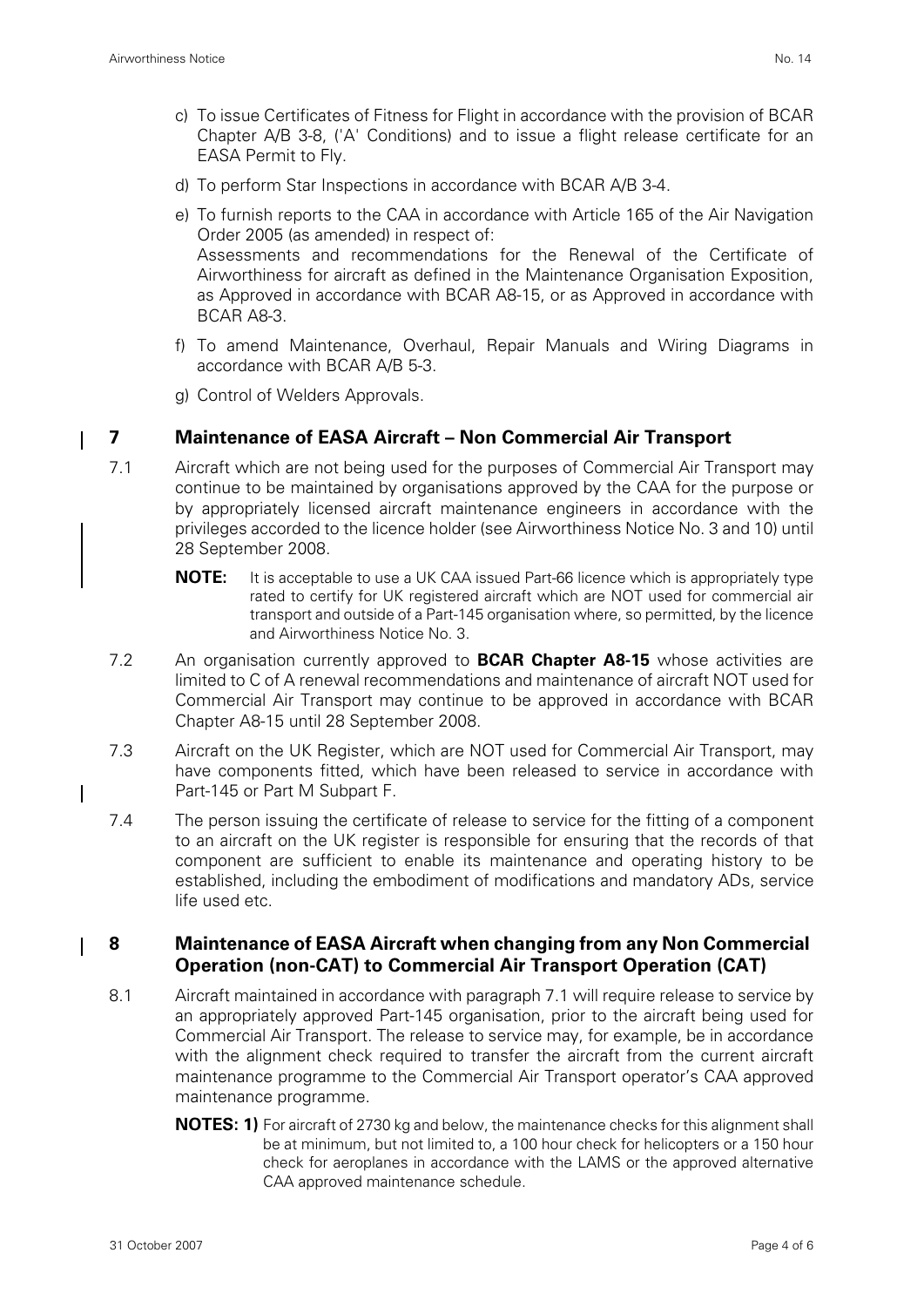- c) To issue Certificates of Fitness for Flight in accordance with the provision of BCAR Chapter A/B 3-8, ('A' Conditions) and to issue a flight release certificate for an EASA Permit to Fly.
- d) To perform Star Inspections in accordance with BCAR A/B 3-4.
- e) To furnish reports to the CAA in accordance with Article 165 of the Air Navigation Order 2005 (as amended) in respect of: Assessments and recommendations for the Renewal of the Certificate of Airworthiness for aircraft as defined in the Maintenance Organisation Exposition, as Approved in accordance with BCAR A8-15, or as Approved in accordance with BCAR A8-3.
- f) To amend Maintenance, Overhaul, Repair Manuals and Wiring Diagrams in accordance with BCAR A/B 5-3.
- g) Control of Welders Approvals.

#### **7 Maintenance of EASA Aircraft – Non Commercial Air Transport**

- 7.1 Aircraft which are not being used for the purposes of Commercial Air Transport may continue to be maintained by organisations approved by the CAA for the purpose or by appropriately licensed aircraft maintenance engineers in accordance with the privileges accorded to the licence holder (see Airworthiness Notice No. 3 and 10) until 28 September 2008.
	- **NOTE:** It is acceptable to use a UK CAA issued Part-66 licence which is appropriately type rated to certify for UK registered aircraft which are NOT used for commercial air transport and outside of a Part-145 organisation where, so permitted, by the licence and Airworthiness Notice No. 3.
- 7.2 An organisation currently approved to **BCAR Chapter A8-15** whose activities are limited to C of A renewal recommendations and maintenance of aircraft NOT used for Commercial Air Transport may continue to be approved in accordance with BCAR Chapter A8-15 until 28 September 2008.
- 7.3 Aircraft on the UK Register, which are NOT used for Commercial Air Transport, may have components fitted, which have been released to service in accordance with Part-145 or Part M Subpart F.
- 7.4 The person issuing the certificate of release to service for the fitting of a component to an aircraft on the UK register is responsible for ensuring that the records of that component are sufficient to enable its maintenance and operating history to be established, including the embodiment of modifications and mandatory ADs, service life used etc.

#### **8 Maintenance of EASA Aircraft when changing from any Non Commercial Operation (non-CAT) to Commercial Air Transport Operation (CAT)**

- 8.1 Aircraft maintained in accordance with paragraph 7.1 will require release to service by an appropriately approved Part-145 organisation, prior to the aircraft being used for Commercial Air Transport. The release to service may, for example, be in accordance with the alignment check required to transfer the aircraft from the current aircraft maintenance programme to the Commercial Air Transport operator's CAA approved maintenance programme.
	- **NOTES: 1)** For aircraft of 2730 kg and below, the maintenance checks for this alignment shall be at minimum, but not limited to, a 100 hour check for helicopters or a 150 hour check for aeroplanes in accordance with the LAMS or the approved alternative CAA approved maintenance schedule.

 $\mathbf l$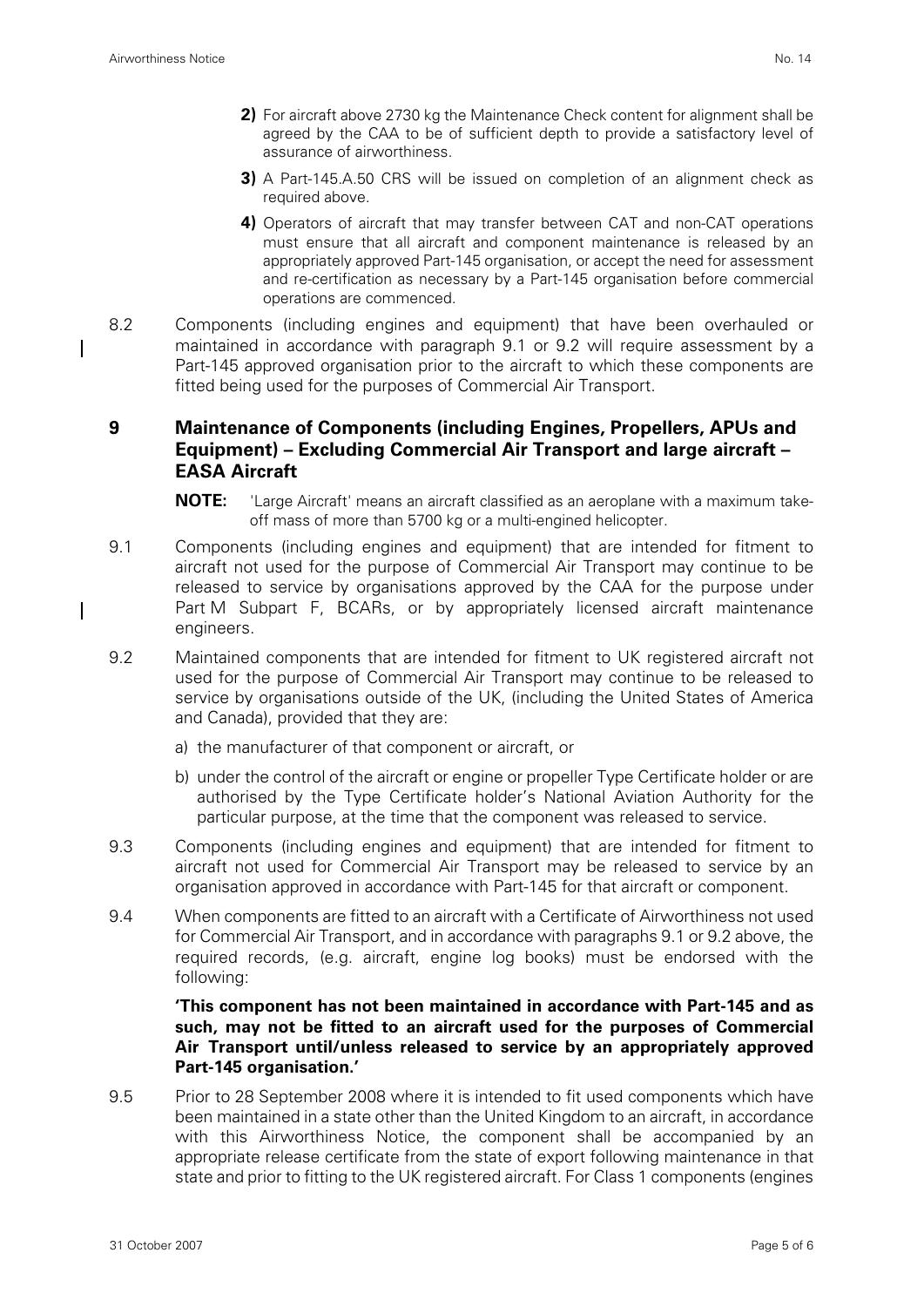- **2)** For aircraft above 2730 kg the Maintenance Check content for alignment shall be agreed by the CAA to be of sufficient depth to provide a satisfactory level of assurance of airworthiness.
- **3)** A Part-145.A.50 CRS will be issued on completion of an alignment check as required above.
- **4)** Operators of aircraft that may transfer between CAT and non-CAT operations must ensure that all aircraft and component maintenance is released by an appropriately approved Part-145 organisation, or accept the need for assessment and re-certification as necessary by a Part-145 organisation before commercial operations are commenced.
- 8.2 Components (including engines and equipment) that have been overhauled or maintained in accordance with paragraph 9.1 or 9.2 will require assessment by a Part-145 approved organisation prior to the aircraft to which these components are fitted being used for the purposes of Commercial Air Transport.

## **9 Maintenance of Components (including Engines, Propellers, APUs and Equipment) – Excluding Commercial Air Transport and large aircraft – EASA Aircraft**

- **NOTE:** 'Large Aircraft' means an aircraft classified as an aeroplane with a maximum takeoff mass of more than 5700 kg or a multi-engined helicopter.
- 9.1 Components (including engines and equipment) that are intended for fitment to aircraft not used for the purpose of Commercial Air Transport may continue to be released to service by organisations approved by the CAA for the purpose under Part M Subpart F, BCARs, or by appropriately licensed aircraft maintenance engineers.
- 9.2 Maintained components that are intended for fitment to UK registered aircraft not used for the purpose of Commercial Air Transport may continue to be released to service by organisations outside of the UK, (including the United States of America and Canada), provided that they are:
	- a) the manufacturer of that component or aircraft, or
	- b) under the control of the aircraft or engine or propeller Type Certificate holder or are authorised by the Type Certificate holder's National Aviation Authority for the particular purpose, at the time that the component was released to service.
- 9.3 Components (including engines and equipment) that are intended for fitment to aircraft not used for Commercial Air Transport may be released to service by an organisation approved in accordance with Part-145 for that aircraft or component.
- 9.4 When components are fitted to an aircraft with a Certificate of Airworthiness not used for Commercial Air Transport, and in accordance with paragraphs 9.1 or 9.2 above, the required records, (e.g. aircraft, engine log books) must be endorsed with the following:

#### **'This component has not been maintained in accordance with Part-145 and as such, may not be fitted to an aircraft used for the purposes of Commercial Air Transport until/unless released to service by an appropriately approved Part-145 organisation.'**

9.5 Prior to 28 September 2008 where it is intended to fit used components which have been maintained in a state other than the United Kingdom to an aircraft, in accordance with this Airworthiness Notice, the component shall be accompanied by an appropriate release certificate from the state of export following maintenance in that state and prior to fitting to the UK registered aircraft. For Class 1 components (engines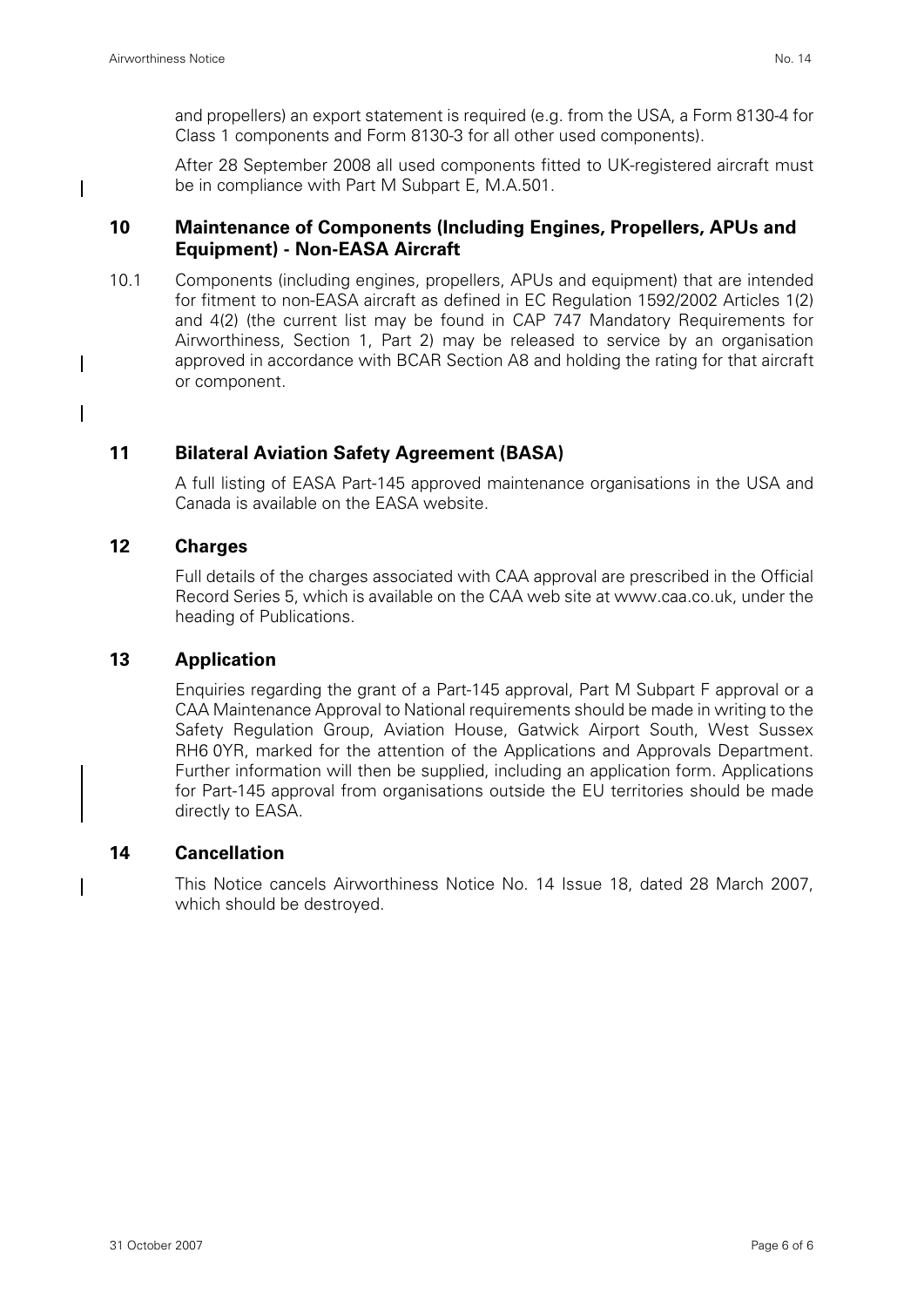I

 $\mathbf l$ 

 $\mathbf l$ 

and propellers) an export statement is required (e.g. from the USA, a Form 8130-4 for Class 1 components and Form 8130-3 for all other used components).

After 28 September 2008 all used components fitted to UK-registered aircraft must be in compliance with Part M Subpart E, M.A.501.

## **10 Maintenance of Components (Including Engines, Propellers, APUs and Equipment) - Non-EASA Aircraft**

10.1 Components (including engines, propellers, APUs and equipment) that are intended for fitment to non-EASA aircraft as defined in EC Regulation 1592/2002 Articles 1(2) and 4(2) (the current list may be found in CAP 747 Mandatory Requirements for Airworthiness, Section 1, Part 2) may be released to service by an organisation approved in accordance with BCAR Section A8 and holding the rating for that aircraft or component.

## **11 Bilateral Aviation Safety Agreement (BASA)**

A full listing of EASA Part-145 approved maintenance organisations in the USA and Canada is available on the EASA website.

#### **12 Charges**

Full details of the charges associated with CAA approval are prescribed in the Official Record Series 5, which is available on the CAA web site at www.caa.co.uk, under the heading of Publications.

## **13 Application**

Enquiries regarding the grant of a Part-145 approval, Part M Subpart F approval or a CAA Maintenance Approval to National requirements should be made in writing to the Safety Regulation Group, Aviation House, Gatwick Airport South, West Sussex RH6 0YR, marked for the attention of the Applications and Approvals Department. Further information will then be supplied, including an application form. Applications for Part-145 approval from organisations outside the EU territories should be made directly to EASA.

## **14 Cancellation**

This Notice cancels Airworthiness Notice No. 14 Issue 18, dated 28 March 2007, which should be destroyed.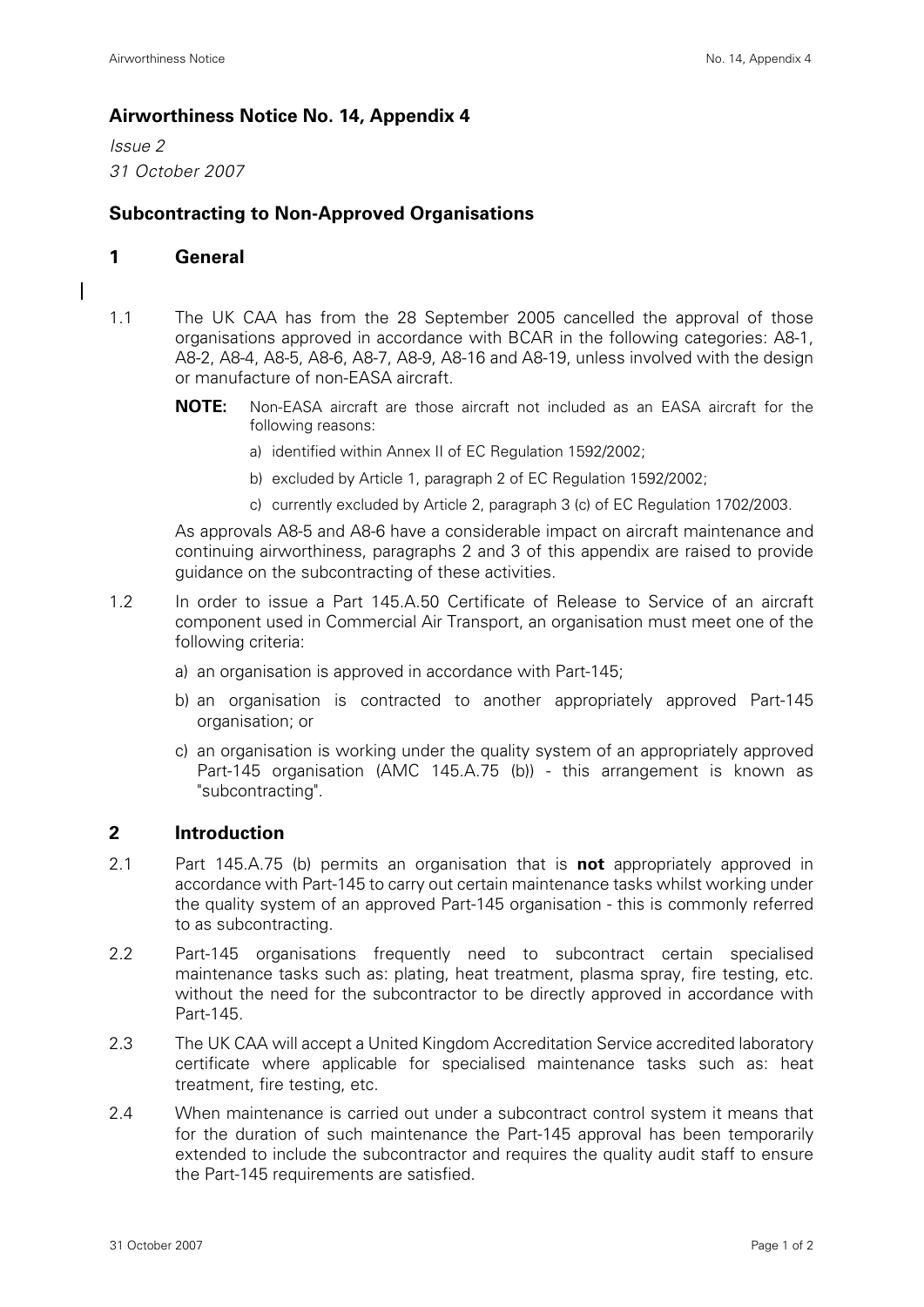## **Airworthiness Notice No. 14, Appendix 4**

*Issue 2 31 October 2007*

## **Subcontracting to Non-Approved Organisations**

#### **1 General**

I

- 1.1 The UK CAA has from the 28 September 2005 cancelled the approval of those organisations approved in accordance with BCAR in the following categories: A8-1, A8-2, A8-4, A8-5, A8-6, A8-7, A8-9, A8-16 and A8-19, unless involved with the design or manufacture of non-EASA aircraft.
	- **NOTE:** Non-EASA aircraft are those aircraft not included as an EASA aircraft for the following reasons:
		- a) identified within Annex II of EC Regulation 1592/2002;
		- b) excluded by Article 1, paragraph 2 of EC Regulation 1592/2002;
		- c) currently excluded by Article 2, paragraph 3 (c) of EC Regulation 1702/2003.

As approvals A8-5 and A8-6 have a considerable impact on aircraft maintenance and continuing airworthiness, paragraphs 2 and 3 of this appendix are raised to provide guidance on the subcontracting of these activities.

- 1.2 In order to issue a Part 145.A.50 Certificate of Release to Service of an aircraft component used in Commercial Air Transport, an organisation must meet one of the following criteria:
	- a) an organisation is approved in accordance with Part-145;
	- b) an organisation is contracted to another appropriately approved Part-145 organisation; or
	- c) an organisation is working under the quality system of an appropriately approved Part-145 organisation (AMC 145.A.75 (b)) - this arrangement is known as "subcontracting".

## **2 Introduction**

- 2.1 Part 145.A.75 (b) permits an organisation that is **not** appropriately approved in accordance with Part-145 to carry out certain maintenance tasks whilst working under the quality system of an approved Part-145 organisation - this is commonly referred to as subcontracting.
- 2.2 Part-145 organisations frequently need to subcontract certain specialised maintenance tasks such as: plating, heat treatment, plasma spray, fire testing, etc. without the need for the subcontractor to be directly approved in accordance with Part-145.
- 2.3 The UK CAA will accept a United Kingdom Accreditation Service accredited laboratory certificate where applicable for specialised maintenance tasks such as: heat treatment, fire testing, etc.
- 2.4 When maintenance is carried out under a subcontract control system it means that for the duration of such maintenance the Part-145 approval has been temporarily extended to include the subcontractor and requires the quality audit staff to ensure the Part-145 requirements are satisfied.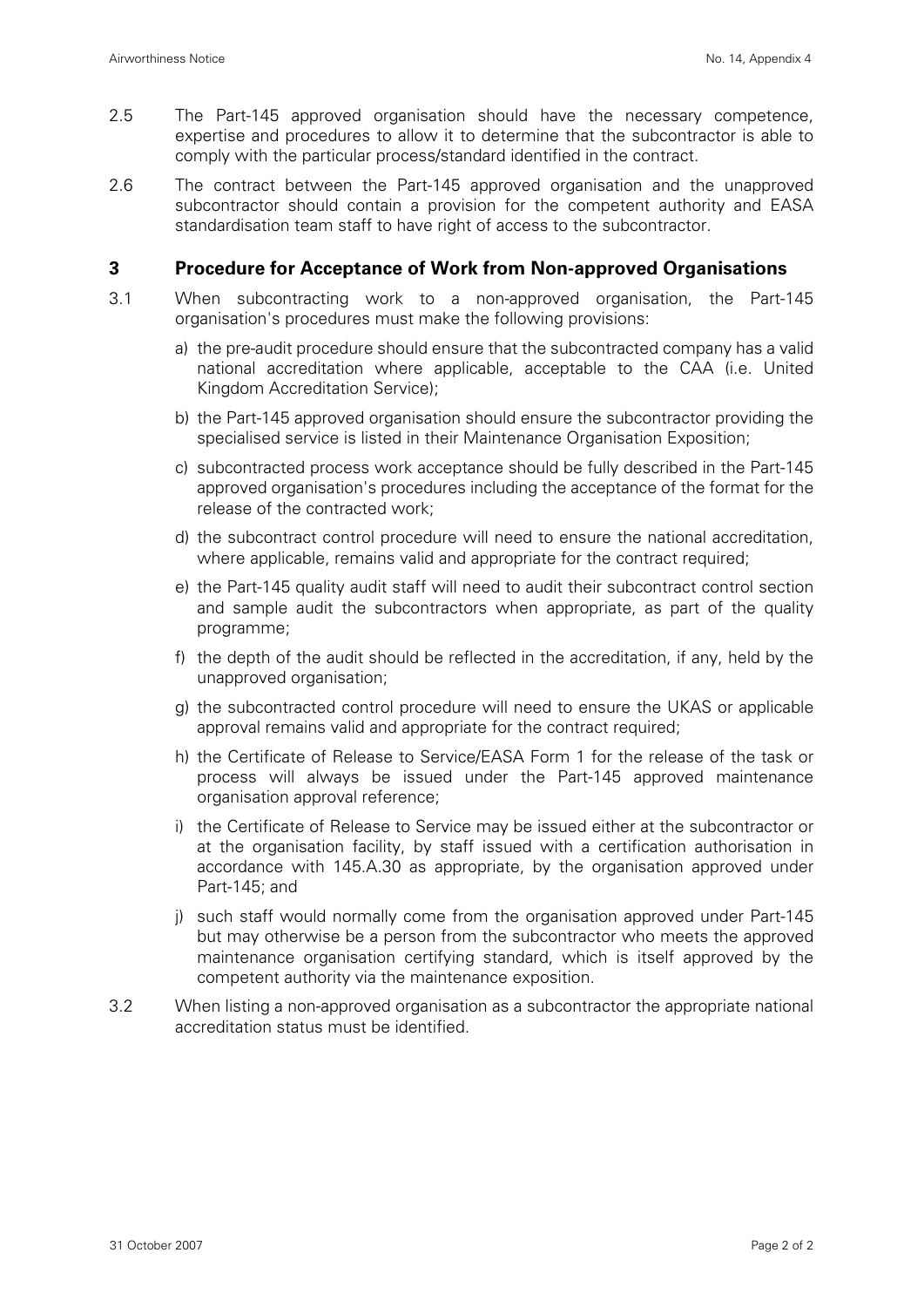- 2.5 The Part-145 approved organisation should have the necessary competence, expertise and procedures to allow it to determine that the subcontractor is able to comply with the particular process/standard identified in the contract.
- 2.6 The contract between the Part-145 approved organisation and the unapproved subcontractor should contain a provision for the competent authority and EASA standardisation team staff to have right of access to the subcontractor.

#### **3 Procedure for Acceptance of Work from Non-approved Organisations**

- 3.1 When subcontracting work to a non-approved organisation, the Part-145 organisation's procedures must make the following provisions:
	- a) the pre-audit procedure should ensure that the subcontracted company has a valid national accreditation where applicable, acceptable to the CAA (i.e. United Kingdom Accreditation Service);
	- b) the Part-145 approved organisation should ensure the subcontractor providing the specialised service is listed in their Maintenance Organisation Exposition;
	- c) subcontracted process work acceptance should be fully described in the Part-145 approved organisation's procedures including the acceptance of the format for the release of the contracted work;
	- d) the subcontract control procedure will need to ensure the national accreditation, where applicable, remains valid and appropriate for the contract required;
	- e) the Part-145 quality audit staff will need to audit their subcontract control section and sample audit the subcontractors when appropriate, as part of the quality programme;
	- f) the depth of the audit should be reflected in the accreditation, if any, held by the unapproved organisation;
	- g) the subcontracted control procedure will need to ensure the UKAS or applicable approval remains valid and appropriate for the contract required;
	- h) the Certificate of Release to Service/EASA Form 1 for the release of the task or process will always be issued under the Part-145 approved maintenance organisation approval reference;
	- i) the Certificate of Release to Service may be issued either at the subcontractor or at the organisation facility, by staff issued with a certification authorisation in accordance with 145.A.30 as appropriate, by the organisation approved under Part-145; and
	- j) such staff would normally come from the organisation approved under Part-145 but may otherwise be a person from the subcontractor who meets the approved maintenance organisation certifying standard, which is itself approved by the competent authority via the maintenance exposition.
- 3.2 When listing a non-approved organisation as a subcontractor the appropriate national accreditation status must be identified.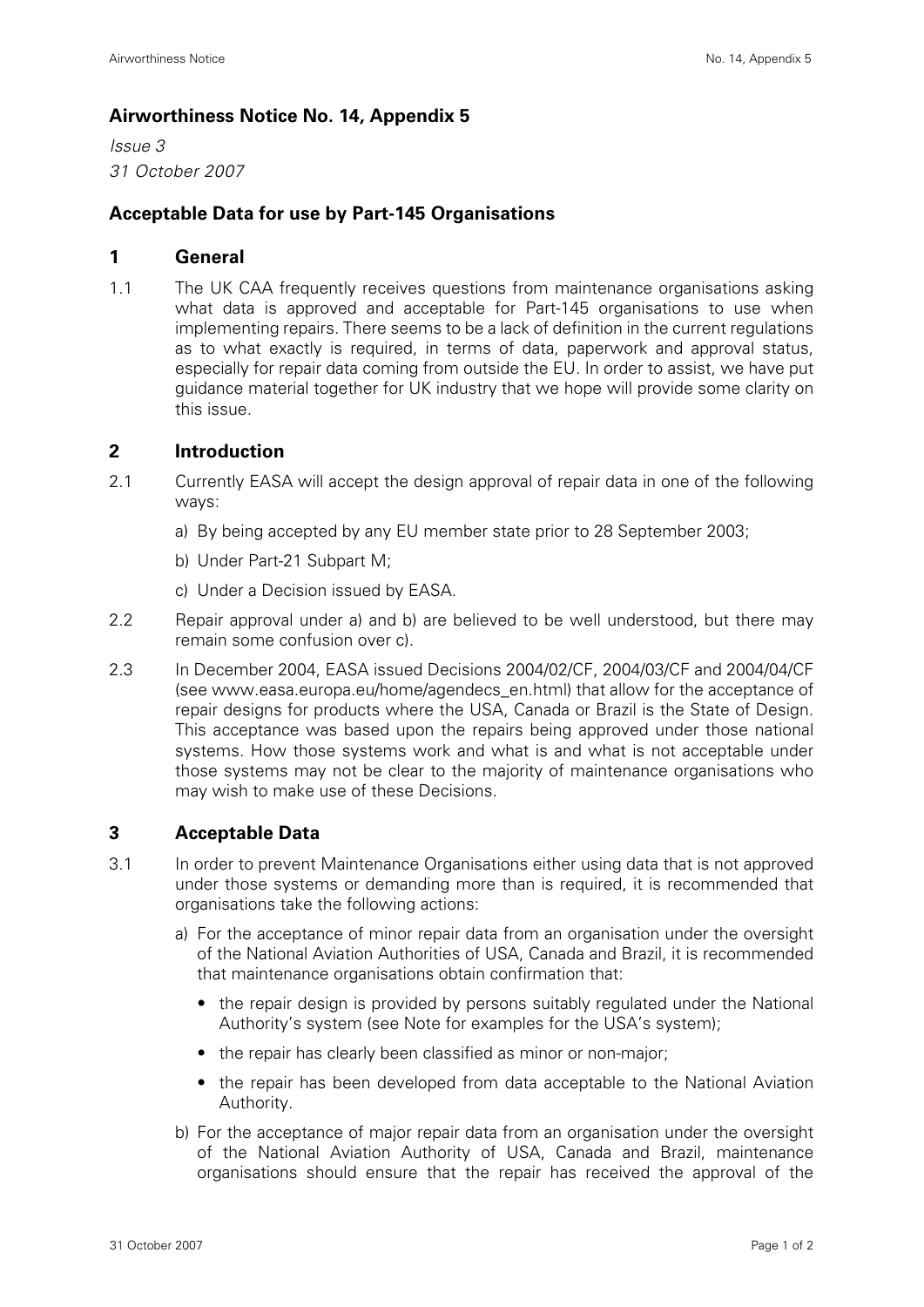## **Airworthiness Notice No. 14, Appendix 5**

*Issue 3 31 October 2007*

## **Acceptable Data for use by Part-145 Organisations**

#### **1 General**

1.1 The UK CAA frequently receives questions from maintenance organisations asking what data is approved and acceptable for Part-145 organisations to use when implementing repairs. There seems to be a lack of definition in the current regulations as to what exactly is required, in terms of data, paperwork and approval status, especially for repair data coming from outside the EU. In order to assist, we have put guidance material together for UK industry that we hope will provide some clarity on this issue.

## **2 Introduction**

- 2.1 Currently EASA will accept the design approval of repair data in one of the following ways:
	- a) By being accepted by any EU member state prior to 28 September 2003;
	- b) Under Part-21 Subpart M;
	- c) Under a Decision issued by EASA.
- 2.2 Repair approval under a) and b) are believed to be well understood, but there may remain some confusion over c).
- 2.3 In December 2004, EASA issued Decisions 2004/02/CF, 2004/03/CF and 2004/04/CF (see www.easa.europa.eu/home/agendecs\_en.html) that allow for the acceptance of repair designs for products where the USA, Canada or Brazil is the State of Design. This acceptance was based upon the repairs being approved under those national systems. How those systems work and what is and what is not acceptable under those systems may not be clear to the majority of maintenance organisations who may wish to make use of these Decisions.

## **3 Acceptable Data**

- 3.1 In order to prevent Maintenance Organisations either using data that is not approved under those systems or demanding more than is required, it is recommended that organisations take the following actions:
	- a) For the acceptance of minor repair data from an organisation under the oversight of the National Aviation Authorities of USA, Canada and Brazil, it is recommended that maintenance organisations obtain confirmation that:
		- the repair design is provided by persons suitably regulated under the National Authority's system (see Note for examples for the USA's system);
		- the repair has clearly been classified as minor or non-major;
		- the repair has been developed from data acceptable to the National Aviation Authority.
	- b) For the acceptance of major repair data from an organisation under the oversight of the National Aviation Authority of USA, Canada and Brazil, maintenance organisations should ensure that the repair has received the approval of the